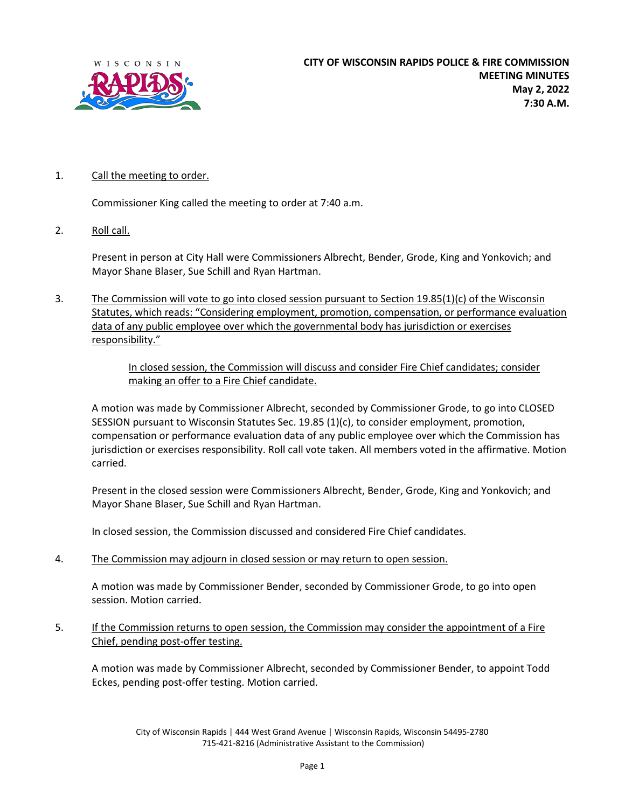

## 1. Call the meeting to order.

Commissioner King called the meeting to order at 7:40 a.m.

2. Roll call.

Present in person at City Hall were Commissioners Albrecht, Bender, Grode, King and Yonkovich; and Mayor Shane Blaser, Sue Schill and Ryan Hartman.

3. The Commission will vote to go into closed session pursuant to Section 19.85(1)(c) of the Wisconsin Statutes, which reads: "Considering employment, promotion, compensation, or performance evaluation data of any public employee over which the governmental body has jurisdiction or exercises responsibility."

> In closed session, the Commission will discuss and consider Fire Chief candidates; consider making an offer to a Fire Chief candidate.

A motion was made by Commissioner Albrecht, seconded by Commissioner Grode, to go into CLOSED SESSION pursuant to Wisconsin Statutes Sec. 19.85 (1)(c), to consider employment, promotion, compensation or performance evaluation data of any public employee over which the Commission has jurisdiction or exercises responsibility. Roll call vote taken. All members voted in the affirmative. Motion carried.

Present in the closed session were Commissioners Albrecht, Bender, Grode, King and Yonkovich; and Mayor Shane Blaser, Sue Schill and Ryan Hartman.

In closed session, the Commission discussed and considered Fire Chief candidates.

4. The Commission may adjourn in closed session or may return to open session.

A motion was made by Commissioner Bender, seconded by Commissioner Grode, to go into open session. Motion carried.

5. If the Commission returns to open session, the Commission may consider the appointment of a Fire Chief, pending post-offer testing.

A motion was made by Commissioner Albrecht, seconded by Commissioner Bender, to appoint Todd Eckes, pending post-offer testing. Motion carried.